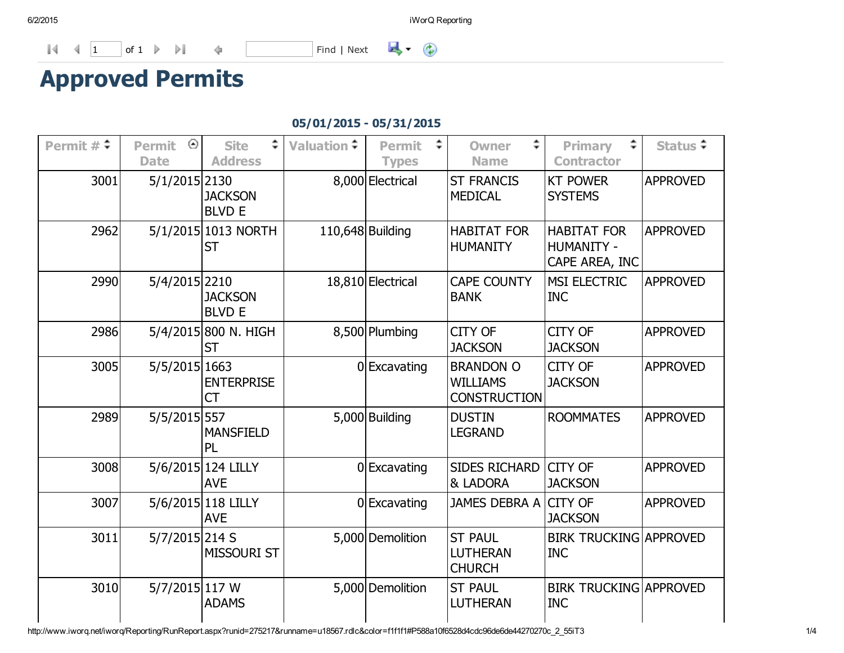$\mathbb{R}$  (i)

1 of 1 Find | Next

## Approved Permits

## 05/01/2015 05/31/2015

| Permit $\#\uparrow$ | Permit<br>⊙<br><b>Date</b> | <b>Site</b><br><b>Address</b>     | <b>Valuation</b> ↓ | <b>Permit</b>                    | <b>Owner</b><br><b>Name</b>                                | <b>Primary</b><br><b>Contractor</b>                       | Status ≑        |
|---------------------|----------------------------|-----------------------------------|--------------------|----------------------------------|------------------------------------------------------------|-----------------------------------------------------------|-----------------|
| 3001                | 5/1/2015 2130              | <b>JACKSON</b><br><b>BLVD E</b>   |                    | <b>Types</b><br>8,000 Electrical | <b>ST FRANCIS</b><br><b>MEDICAL</b>                        | <b>KT POWER</b><br><b>SYSTEMS</b>                         | <b>APPROVED</b> |
| 2962                |                            | 5/1/2015 1013 NORTH<br><b>ST</b>  |                    | 110,648 Building                 | <b>HABITAT FOR</b><br><b>HUMANITY</b>                      | <b>HABITAT FOR</b><br><b>HUMANITY -</b><br>CAPE AREA, INC | <b>APPROVED</b> |
| 2990                | 5/4/2015 2210              | <b>JACKSON</b><br><b>BLVD E</b>   |                    | 18,810 Electrical                | <b>CAPE COUNTY</b><br><b>BANK</b>                          | <b>MSI ELECTRIC</b><br><b>INC</b>                         | <b>APPROVED</b> |
| 2986                |                            | 5/4/2015 800 N. HIGH<br><b>ST</b> |                    | 8,500 Plumbing                   | <b>CITY OF</b><br><b>JACKSON</b>                           | <b>CITY OF</b><br><b>JACKSON</b>                          | <b>APPROVED</b> |
| 3005                | 5/5/2015 1663              | <b>ENTERPRISE</b><br><b>CT</b>    |                    | 0 Excavating                     | <b>BRANDON O</b><br><b>WILLIAMS</b><br><b>CONSTRUCTION</b> | <b>CITY OF</b><br><b>JACKSON</b>                          | <b>APPROVED</b> |
| 2989                | 5/5/2015 557               | <b>MANSFIELD</b><br>PL            |                    | 5,000 Building                   | <b>DUSTIN</b><br><b>LEGRAND</b>                            | <b>ROOMMATES</b>                                          | <b>APPROVED</b> |
| 3008                |                            | 5/6/2015 124 LILLY<br><b>AVE</b>  |                    | 0 Excavating                     | <b>SIDES RICHARD</b><br>& LADORA                           | CITY OF<br><b>JACKSON</b>                                 | <b>APPROVED</b> |
| 3007                |                            | 5/6/2015 118 LILLY<br><b>AVE</b>  |                    | 0 Excavating                     | JAMES DEBRA A                                              | <b>CITY OF</b><br><b>JACKSON</b>                          | <b>APPROVED</b> |
| 3011                | 5/7/2015 214 S             | <b>MISSOURI ST</b>                |                    | 5,000 Demolition                 | <b>ST PAUL</b><br><b>LUTHERAN</b><br><b>CHURCH</b>         | <b>BIRK TRUCKING APPROVED</b><br><b>INC</b>               |                 |
| 3010                | 5/7/2015 117 W             | <b>ADAMS</b>                      |                    | 5,000 Demolition                 | <b>ST PAUL</b><br><b>LUTHERAN</b>                          | <b>BIRK TRUCKING APPROVED</b><br><b>INC</b>               |                 |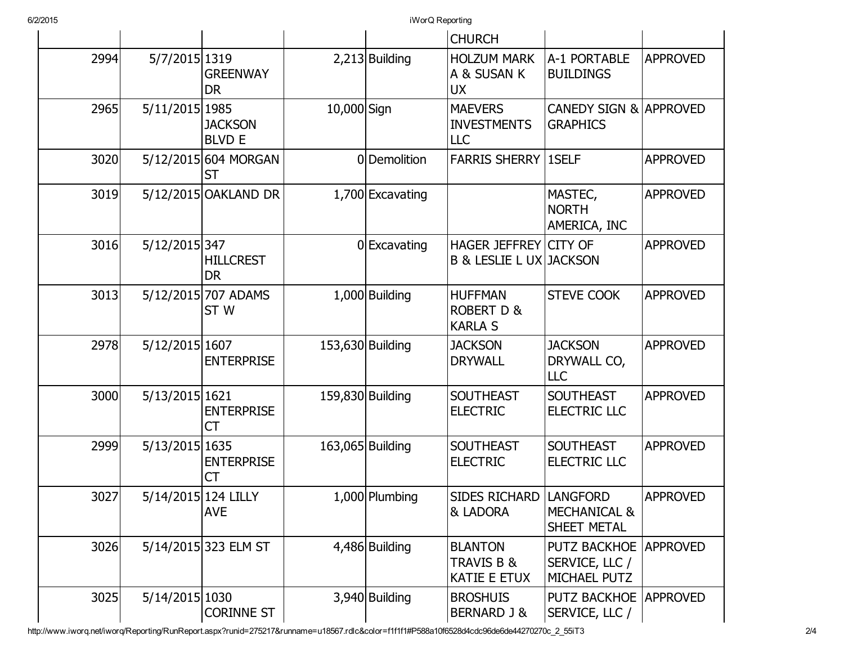6/2/2015 iWorQ Reporting

|      |                     |                                        |             |                  | <b>CHURCH</b>                                               |                                                           |                 |
|------|---------------------|----------------------------------------|-------------|------------------|-------------------------------------------------------------|-----------------------------------------------------------|-----------------|
| 2994 | 5/7/2015 1319       | <b>GREENWAY</b><br><b>DR</b>           |             | $2,213$ Building | <b>HOLZUM MARK</b><br>A & SUSAN K<br><b>UX</b>              | A-1 PORTABLE<br><b>BUILDINGS</b>                          | <b>APPROVED</b> |
| 2965 | 5/11/2015 1985      | <b>JACKSON</b><br><b>BLVD E</b>        | 10,000 Sign |                  | <b>MAEVERS</b><br><b>INVESTMENTS</b><br><b>LLC</b>          | <b>CANEDY SIGN &amp;</b><br><b>GRAPHICS</b>               | <b>APPROVED</b> |
| 3020 |                     | 5/12/2015 604 MORGAN<br>ST             |             | 0 Demolition     | <b>FARRIS SHERRY</b>                                        | 1SELF                                                     | <b>APPROVED</b> |
| 3019 |                     | 5/12/2015 OAKLAND DR                   |             | 1,700 Excavating |                                                             | MASTEC,<br><b>NORTH</b><br>AMERICA, INC                   | <b>APPROVED</b> |
| 3016 | 5/12/2015 347       | <b>HILLCREST</b><br><b>DR</b>          |             | 0 Excavating     | HAGER JEFFREY CITY OF<br><b>B &amp; LESLIE L UX JACKSON</b> |                                                           | <b>APPROVED</b> |
| 3013 |                     | 5/12/2015 707 ADAMS<br>ST <sub>W</sub> |             | $1,000$ Building | <b>HUFFMAN</b><br><b>ROBERT D &amp;</b><br><b>KARLA S</b>   | <b>STEVE COOK</b>                                         | <b>APPROVED</b> |
| 2978 | 5/12/2015 1607      | <b>ENTERPRISE</b>                      |             | 153,630 Building | <b>JACKSON</b><br><b>DRYWALL</b>                            | <b>JACKSON</b><br>DRYWALL CO,<br><b>LLC</b>               | <b>APPROVED</b> |
| 3000 | 5/13/2015 1621      | <b>ENTERPRISE</b><br>СT                |             | 159,830 Building | <b>SOUTHEAST</b><br><b>ELECTRIC</b>                         | <b>SOUTHEAST</b><br>ELECTRIC LLC                          | <b>APPROVED</b> |
| 2999 | 5/13/2015 1635      | <b>ENTERPRISE</b><br><b>CT</b>         |             | 163,065 Building | <b>SOUTHEAST</b><br><b>ELECTRIC</b>                         | <b>SOUTHEAST</b><br>ELECTRIC LLC                          | <b>APPROVED</b> |
| 3027 | 5/14/2015 124 LILLY | <b>AVE</b>                             |             | 1,000 Plumbing   | <b>SIDES RICHARD</b><br>& LADORA                            | <b>LANGFORD</b><br><b>MECHANICAL &amp;</b><br>SHEET METAL | <b>APPROVED</b> |
| 3026 |                     | 5/14/2015 323 ELM ST                   |             | 4,486 Building   | <b>BLANTON</b><br>TRAVIS B &<br><b>KATIE E ETUX</b>         | <b>PUTZ BACKHOE</b><br>SERVICE, LLC /<br>MICHAEL PUTZ     | <b>APPROVED</b> |
| 3025 | 5/14/2015 1030      | <b>CORINNE ST</b>                      |             | 3,940 Building   | <b>BROSHUIS</b><br>BERNARD J &                              | <b>PUTZ BACKHOE</b><br>SERVICE, LLC /                     | <b>APPROVED</b> |

http://www.iworq.net/iworq/Reporting/RunReport.aspx?runid=275217&runname=u18567.rdlc&color=f1f1f1#P588a10f6528d4cdc96de6de44270270c\_2\_55iT3 2/4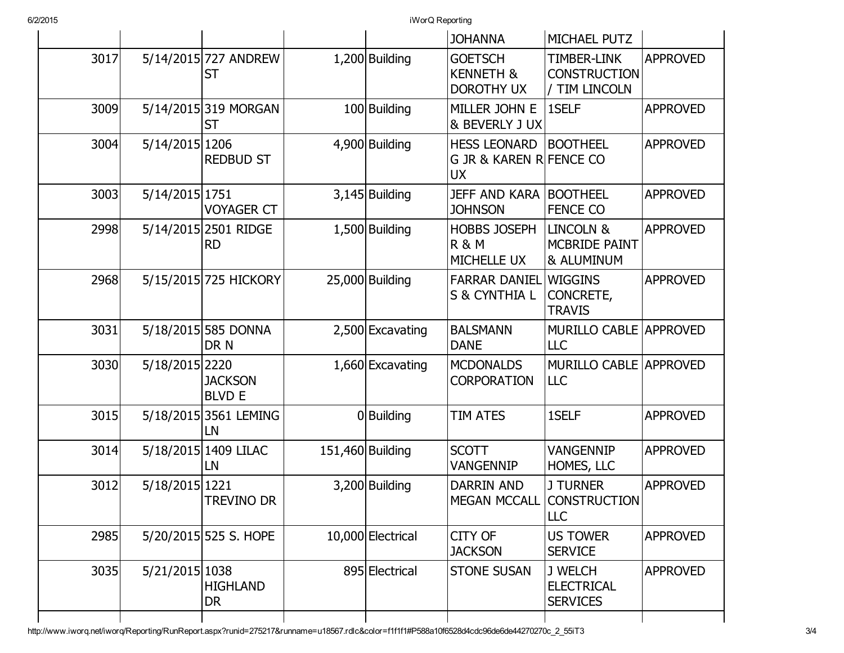6/2/2015 iWorQ Reporting

|      |                |                                   |                   | <b>JOHANNA</b>                                                         | MICHAEL PUTZ                                               |                 |
|------|----------------|-----------------------------------|-------------------|------------------------------------------------------------------------|------------------------------------------------------------|-----------------|
| 3017 |                | 5/14/2015 727 ANDREW<br><b>ST</b> | 1,200 Building    | <b>GOETSCH</b><br><b>KENNETH &amp;</b><br><b>DOROTHY UX</b>            | <b>TIMBER-LINK</b><br><b>CONSTRUCTION</b><br>/ TIM LINCOLN | <b>APPROVED</b> |
| 3009 |                | 5/14/2015 319 MORGAN<br><b>ST</b> | 100 Building      | MILLER JOHN E<br>& BEVERLY J UX                                        | 1SELF                                                      | <b>APPROVED</b> |
| 3004 | 5/14/2015 1206 | <b>REDBUD ST</b>                  | 4,900 Building    | <b>HESS LEONARD</b><br><b>G JR &amp; KAREN R FENCE CO</b><br><b>UX</b> | <b>BOOTHEEL</b>                                            | <b>APPROVED</b> |
| 3003 | 5/14/2015 1751 | <b>VOYAGER CT</b>                 | $3,145$ Building  | <b>JEFF AND KARA BOOTHEEL</b><br><b>JOHNSON</b>                        | <b>FENCE CO</b>                                            | <b>APPROVED</b> |
| 2998 |                | 5/14/2015 2501 RIDGE<br><b>RD</b> | 1,500 Building    | <b>HOBBS JOSEPH</b><br><b>R &amp; M</b><br><b>MICHELLE UX</b>          | <b>LINCOLN &amp;</b><br><b>MCBRIDE PAINT</b><br>& ALUMINUM | <b>APPROVED</b> |
| 2968 |                | 5/15/2015 725 HICKORY             | 25,000 Building   | <b>FARRAR DANIEL WIGGINS</b><br>S & CYNTHIA L                          | <b>CONCRETE,</b><br><b>TRAVIS</b>                          | <b>APPROVED</b> |
| 3031 |                | 5/18/2015 585 DONNA<br>DR N       | 2,500 Excavating  | <b>BALSMANN</b><br><b>DANE</b>                                         | <b>MURILLO CABLE APPROVED</b><br><b>LLC</b>                |                 |
| 3030 | 5/18/2015 2220 | <b>JACKSON</b><br><b>BLVD E</b>   | 1,660 Excavating  | <b>MCDONALDS</b><br><b>CORPORATION</b>                                 | <b>MURILLO CABLE APPROVED</b><br><b>LLC</b>                |                 |
| 3015 |                | 5/18/2015 3561 LEMING<br>LN       | 0 Building        | TIM ATES                                                               | 1SELF                                                      | <b>APPROVED</b> |
| 3014 |                | 5/18/2015 1409 LILAC<br>LN        | 151,460 Building  | <b>SCOTT</b><br><b>VANGENNIP</b>                                       | <b>VANGENNIP</b><br><b>HOMES, LLC</b>                      | <b>APPROVED</b> |
| 3012 | 5/18/2015 1221 | <b>TREVINO DR</b>                 | 3,200 Building    | <b>DARRIN AND</b><br><b>MEGAN MCCALL</b>                               | <b>J TURNER</b><br><b>CONSTRUCTION</b><br><b>LLC</b>       | <b>APPROVED</b> |
| 2985 |                | 5/20/2015 525 S. HOPE             | 10,000 Electrical | <b>CITY OF</b><br><b>JACKSON</b>                                       | <b>US TOWER</b><br><b>SERVICE</b>                          | <b>APPROVED</b> |
| 3035 | 5/21/2015 1038 | <b>HIGHLAND</b><br><b>DR</b>      | 895 Electrical    | <b>STONE SUSAN</b>                                                     | J WELCH<br><b>ELECTRICAL</b><br><b>SERVICES</b>            | <b>APPROVED</b> |
|      |                |                                   |                   |                                                                        |                                                            |                 |